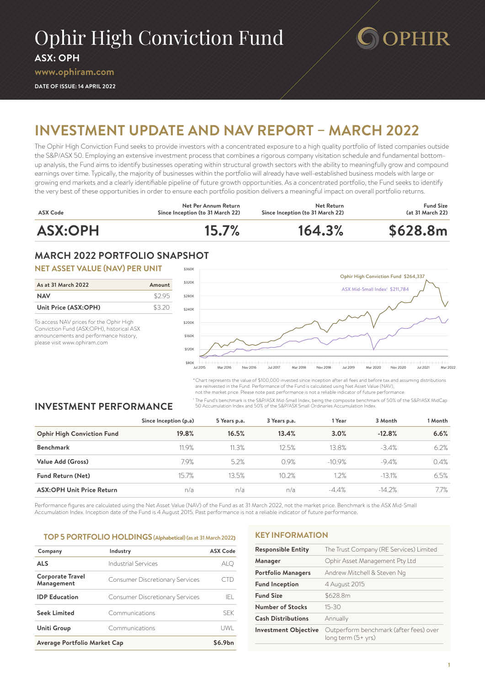# Ophir High Conviction Fund

**ASX: OPH**

#### **[www.ophiram.com](http://www.ophiram.com)**

**DATE OF ISSUE: 14 APRIL 2022**

# **INVESTMENT UPDATE AND NAV REPORT – MARCH 2022**

The Ophir High Conviction Fund seeks to provide investors with a concentrated exposure to a high quality portfolio of listed companies outside the S&P/ASX 50. Employing an extensive investment process that combines a rigorous company visitation schedule and fundamental bottomup analysis, the Fund aims to identify businesses operating within structural growth sectors with the ability to meaningfully grow and compound earnings over time. Typically, the majority of businesses within the portfolio will already have well-established business models with large or growing end markets and a clearly identifiable pipeline of future growth opportunities. As a concentrated portfolio, the Fund seeks to identify the very best of these opportunities in order to ensure each portfolio position delivers a meaningful impact on overall portfolio returns.



# **MARCH 2022 PORTFOLIO SNAPSHOT**

#### **NET ASSET VALUE (NAV) PER UNIT**

| As at 31 March 2022  | Amount |
|----------------------|--------|
| <b>NAV</b>           | \$295  |
| Unit Price (ASX:OPH) | \$320  |

To access NAV prices for the Ophir High Conviction Fund (ASX:OPH), historical ASX announcements and performance history, please visit [www.ophiram.com](http://www.ophiram.com)



**DOPHIR** 

\*Chart represents the value of \$100,000 invested since inception after all fees and before tax and assuming distributions are reinvested in the Fund. Performance of the Fund is calculated using Net Asset Value (NAV),

not the market price. Please note past performance is not a reliable indicator of future performance.

<sup>1</sup> The Fund's benchmark is the S&P/ASX Mid-Small Index, being the composite benchmark of 50% of the S&P/ASX MidCap 50 Accumulation Index and 50% of the S&P/ASX Small Ordinaries Accumulation Index.

# **INVESTMENT PERFORMANCE**

**Since Inception (p.a) 5 Years p.a. 3 Years p.a. 1 Year 3 Month 1 Month Ophir High Conviction Fund 19.8% 16.5% 13.4% 3.0% -12.8% 6.6% Benchmark** 11.9% 11.3% 12.5% 13.8% -3.4% 6.2% **Value Add (Gross)** 7.9% 5.2% 0.9% -10.9% -9.4% 0.4% **Fund Return (Net)** 15.7% 13.5% 10.2% 1.2% 1.2% 1.3.1% 6.5% **ASX:OPH Unit Price Return** n/a n/a n/a -4.4% -14.2% 7.7%

Performance figures are calculated using the Net Asset Value (NAV) of the Fund as at 31 March 2022, not the market price. Benchmark is the ASX Mid-Small Accumulation Index. Inception date of the Fund is 4 August 2015. Past performance is not a reliable indicator of future performance.

#### **TOP 5 PORTFOLIO HOLDINGS (Alphabetical)(as at 31 March 2022)**

| Company                               | Industry                               | <b>ASX Code</b> |
|---------------------------------------|----------------------------------------|-----------------|
| <b>ALS</b>                            | Industrial Services                    | alq             |
| <b>Corporate Travel</b><br>Management | <b>Consumer Discretionary Services</b> |                 |
| <b>IDP</b> Education                  | <b>Consumer Discretionary Services</b> | IFL.            |
| <b>Seek Limited</b>                   | Communications                         | <b>SFK</b>      |
| Uniti Group                           | Communications                         | l JWI.          |
| Average Portfolio Market Cap          |                                        | \$6.9bn         |

#### **KEY INFORMATION**

| <b>Responsible Entity</b>   | The Trust Company (RE Services) Limited                      |  |
|-----------------------------|--------------------------------------------------------------|--|
| Manager                     | Ophir Asset Management Pty Ltd                               |  |
| <b>Portfolio Managers</b>   | Andrew Mitchell & Steven Ng                                  |  |
| <b>Fund Inception</b>       | 4 August 2015                                                |  |
| <b>Fund Size</b>            | \$628.8m                                                     |  |
| Number of Stocks            | $15 - 30$                                                    |  |
| <b>Cash Distributions</b>   | Annually                                                     |  |
| <b>Investment Objective</b> | Outperform benchmark (after fees) over<br>long term (5+ yrs) |  |
|                             |                                                              |  |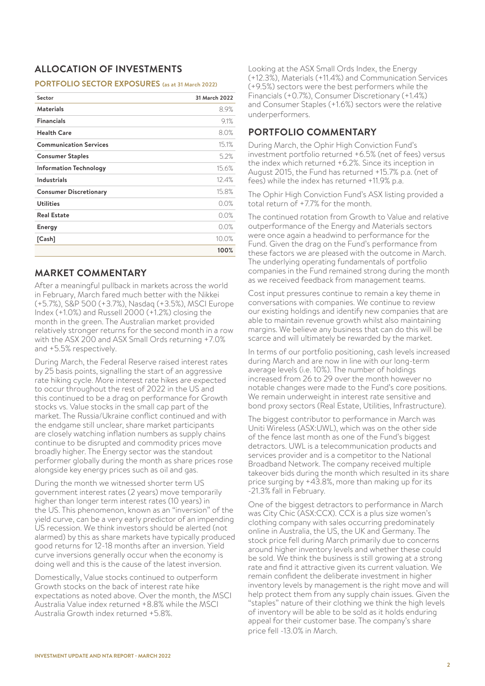# **ALLOCATION OF INVESTMENTS**

#### **PORTFOLIO SECTOR EXPOSURES (as at 31 March 2022)**

| Sector                        | 31 March 2022 |
|-------------------------------|---------------|
| <b>Materials</b>              | 8.9%          |
| <b>Financials</b>             | 9.1%          |
| <b>Health Care</b>            | 8.0%          |
| <b>Communication Services</b> | 15.1%         |
| <b>Consumer Staples</b>       | 5.2%          |
| <b>Information Technology</b> | 15.6%         |
| <b>Industrials</b>            | 12.4%         |
| <b>Consumer Discretionary</b> | 15.8%         |
| <b>Utilities</b>              | 0.0%          |
| <b>Real Estate</b>            | 0.0%          |
| <b>Energy</b>                 | 0.0%          |
| [Cash]                        | 10.0%         |
|                               | 100%          |

# **MARKET COMMENTARY**

After a meaningful pullback in markets across the world in February, March fared much better with the Nikkei (+5.7%), S&P 500 (+3.7%), Nasdaq (+3.5%), MSCI Europe Index (+1.0%) and Russell 2000 (+1.2%) closing the month in the green. The Australian market provided relatively stronger returns for the second month in a row with the ASX 200 and ASX Small Ords returning +7.0% and +5.5% respectively.

During March, the Federal Reserve raised interest rates by 25 basis points, signalling the start of an aggressive rate hiking cycle. More interest rate hikes are expected to occur throughout the rest of 2022 in the US and this continued to be a drag on performance for Growth stocks vs. Value stocks in the small cap part of the market. The Russia/Ukraine conflict continued and with the endgame still unclear, share market participants are closely watching inflation numbers as supply chains continue to be disrupted and commodity prices move broadly higher. The Energy sector was the standout performer globally during the month as share prices rose alongside key energy prices such as oil and gas.

During the month we witnessed shorter term US government interest rates (2 years) move temporarily higher than longer term interest rates (10 years) in the US. This phenomenon, known as an "inversion" of the yield curve, can be a very early predictor of an impending US recession. We think investors should be alerted (not alarmed) by this as share markets have typically produced good returns for 12-18 months after an inversion. Yield curve inversions generally occur when the economy is doing well and this is the cause of the latest inversion.

Domestically, Value stocks continued to outperform Growth stocks on the back of interest rate hike expectations as noted above. Over the month, the MSCI Australia Value index returned +8.8% while the MSCI Australia Growth index returned +5.8%.

Looking at the ASX Small Ords Index, the Energy (+12.3%), Materials (+11.4%) and Communication Services (+9.5%) sectors were the best performers while the Financials (+0.7%), Consumer Discretionary (+1.4%) and Consumer Staples (+1.6%) sectors were the relative underperformers.

# **PORTFOLIO COMMENTARY**

During March, the Ophir High Conviction Fund's investment portfolio returned +6.5% (net of fees) versus the index which returned +6.2%. Since its inception in August 2015, the Fund has returned +15.7% p.a. (net of fees) while the index has returned +11.9% p.a.

The Ophir High Conviction Fund's ASX listing provided a total return of +7.7% for the month.

The continued rotation from Growth to Value and relative outperformance of the Energy and Materials sectors were once again a headwind to performance for the Fund. Given the drag on the Fund's performance from these factors we are pleased with the outcome in March. The underlying operating fundamentals of portfolio companies in the Fund remained strong during the month as we received feedback from management teams.

Cost input pressures continue to remain a key theme in conversations with companies. We continue to review our existing holdings and identify new companies that are able to maintain revenue growth whilst also maintaining margins. We believe any business that can do this will be scarce and will ultimately be rewarded by the market.

In terms of our portfolio positioning, cash levels increased during March and are now in line with our long-term average levels (i.e. 10%). The number of holdings increased from 26 to 29 over the month however no notable changes were made to the Fund's core positions. We remain underweight in interest rate sensitive and bond proxy sectors (Real Estate, Utilities, Infrastructure).

The biggest contributor to performance in March was Uniti Wireless (ASX:UWL), which was on the other side of the fence last month as one of the Fund's biggest detractors. UWL is a telecommunication products and services provider and is a competitor to the National Broadband Network. The company received multiple takeover bids during the month which resulted in its share price surging by +43.8%, more than making up for its -21.3% fall in February.

One of the biggest detractors to performance in March was City Chic (ASX:CCX). CCX is a plus size women's clothing company with sales occurring predominately online in Australia, the US, the UK and Germany. The stock price fell during March primarily due to concerns around higher inventory levels and whether these could be sold. We think the business is still growing at a strong rate and find it attractive given its current valuation. We remain confident the deliberate investment in higher inventory levels by management is the right move and will help protect them from any supply chain issues. Given the "staples" nature of their clothing we think the high levels of inventory will be able to be sold as it holds enduring appeal for their customer base. The company's share price fell -13.0% in March.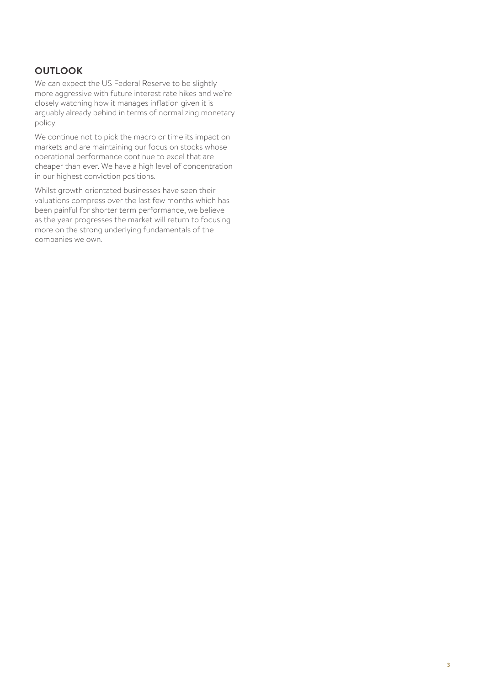# **OUTLOOK**

We can expect the US Federal Reserve to be slightly more aggressive with future interest rate hikes and we're closely watching how it manages inflation given it is arguably already behind in terms of normalizing monetary policy.

We continue not to pick the macro or time its impact on markets and are maintaining our focus on stocks whose operational performance continue to excel that are cheaper than ever. We have a high level of concentration in our highest conviction positions.

Whilst growth orientated businesses have seen their valuations compress over the last few months which has been painful for shorter term performance, we believe as the year progresses the market will return to focusing more on the strong underlying fundamentals of the companies we own.